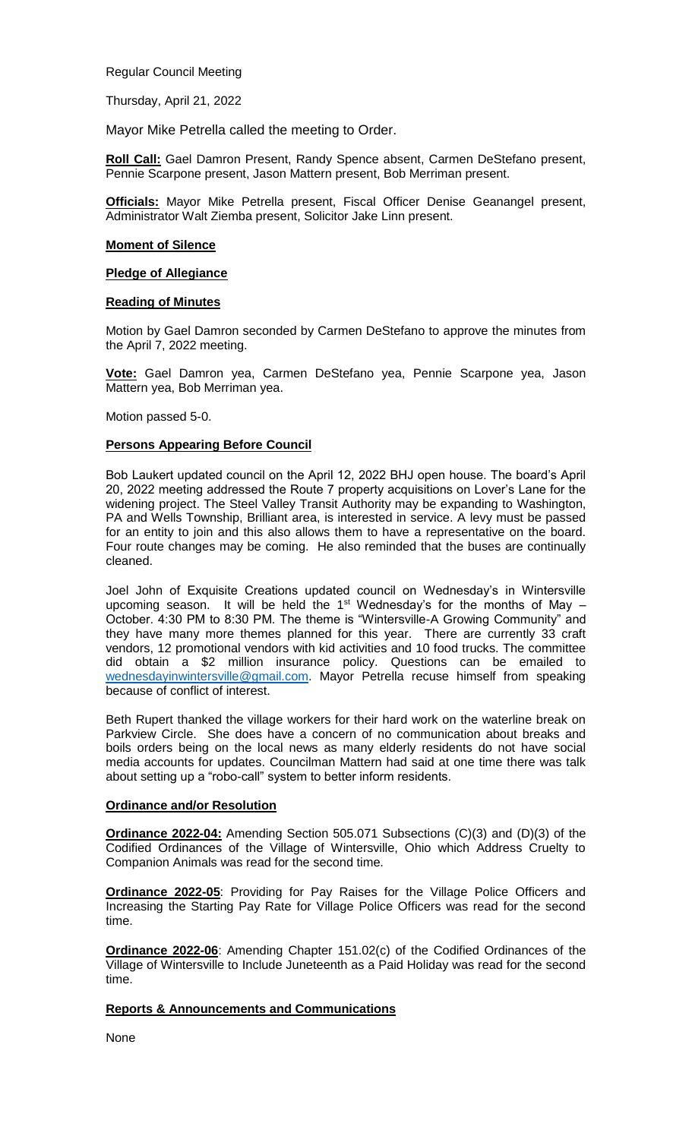Regular Council Meeting

Thursday, April 21, 2022

Mayor Mike Petrella called the meeting to Order.

**Roll Call:** Gael Damron Present, Randy Spence absent, Carmen DeStefano present, Pennie Scarpone present, Jason Mattern present, Bob Merriman present.

**Officials:** Mayor Mike Petrella present, Fiscal Officer Denise Geanangel present, Administrator Walt Ziemba present, Solicitor Jake Linn present.

### **Moment of Silence**

### **Pledge of Allegiance**

## **Reading of Minutes**

Motion by Gael Damron seconded by Carmen DeStefano to approve the minutes from the April 7, 2022 meeting.

**Vote:** Gael Damron yea, Carmen DeStefano yea, Pennie Scarpone yea, Jason Mattern yea, Bob Merriman yea.

Motion passed 5-0.

# **Persons Appearing Before Council**

Bob Laukert updated council on the April 12, 2022 BHJ open house. The board's April 20, 2022 meeting addressed the Route 7 property acquisitions on Lover's Lane for the widening project. The Steel Valley Transit Authority may be expanding to Washington, PA and Wells Township, Brilliant area, is interested in service. A levy must be passed for an entity to join and this also allows them to have a representative on the board. Four route changes may be coming. He also reminded that the buses are continually cleaned.

Joel John of Exquisite Creations updated council on Wednesday's in Wintersville upcoming season. It will be held the  $1<sup>st</sup>$  Wednesday's for the months of May October. 4:30 PM to 8:30 PM. The theme is "Wintersville-A Growing Community" and they have many more themes planned for this year. There are currently 33 craft vendors, 12 promotional vendors with kid activities and 10 food trucks. The committee did obtain a \$2 million insurance policy. Questions can be emailed to [wednesdayinwintersville@gmail.com.](mailto:wednesdayinwintersville@gmail.com) Mayor Petrella recuse himself from speaking because of conflict of interest.

Beth Rupert thanked the village workers for their hard work on the waterline break on Parkview Circle. She does have a concern of no communication about breaks and boils orders being on the local news as many elderly residents do not have social media accounts for updates. Councilman Mattern had said at one time there was talk about setting up a "robo-call" system to better inform residents.

# **Ordinance and/or Resolution**

**Ordinance 2022-04:** Amending Section 505.071 Subsections (C)(3) and (D)(3) of the Codified Ordinances of the Village of Wintersville, Ohio which Address Cruelty to Companion Animals was read for the second time.

**Ordinance 2022-05**: Providing for Pay Raises for the Village Police Officers and Increasing the Starting Pay Rate for Village Police Officers was read for the second time.

**Ordinance 2022-06**: Amending Chapter 151.02(c) of the Codified Ordinances of the Village of Wintersville to Include Juneteenth as a Paid Holiday was read for the second time.

# **Reports & Announcements and Communications**

None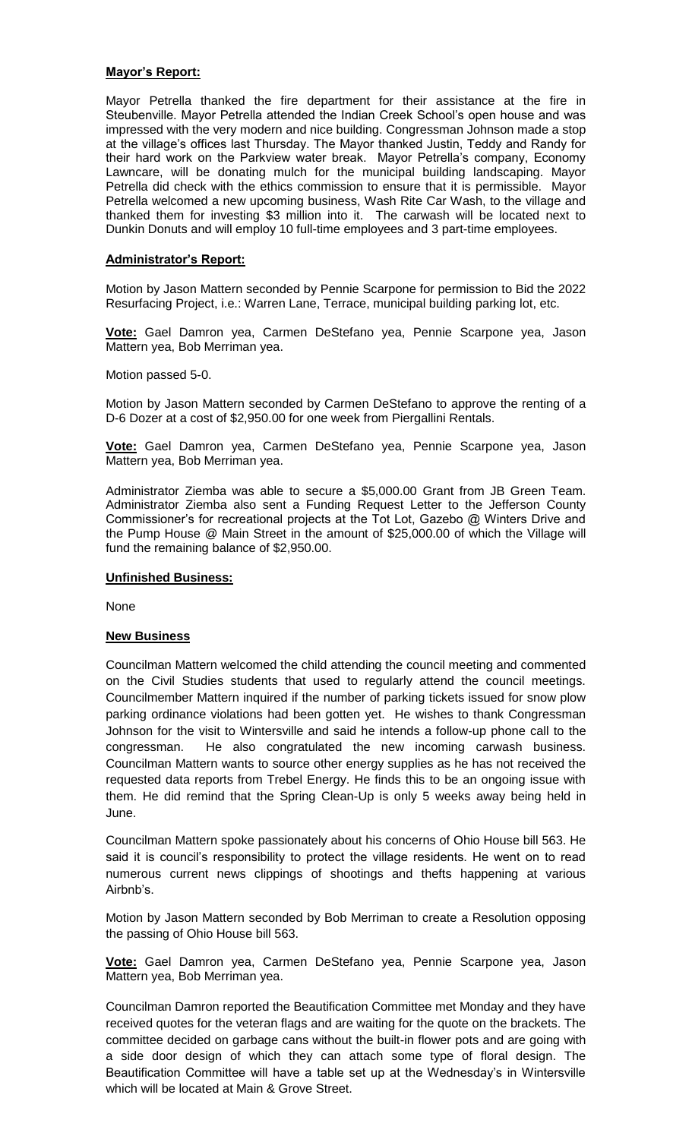## **Mayor's Report:**

Mayor Petrella thanked the fire department for their assistance at the fire in Steubenville. Mayor Petrella attended the Indian Creek School's open house and was impressed with the very modern and nice building. Congressman Johnson made a stop at the village's offices last Thursday. The Mayor thanked Justin, Teddy and Randy for their hard work on the Parkview water break. Mayor Petrella's company, Economy Lawncare, will be donating mulch for the municipal building landscaping. Mayor Petrella did check with the ethics commission to ensure that it is permissible. Mayor Petrella welcomed a new upcoming business, Wash Rite Car Wash, to the village and thanked them for investing \$3 million into it. The carwash will be located next to Dunkin Donuts and will employ 10 full-time employees and 3 part-time employees.

## **Administrator's Report:**

Motion by Jason Mattern seconded by Pennie Scarpone for permission to Bid the 2022 Resurfacing Project, i.e.: Warren Lane, Terrace, municipal building parking lot, etc.

**Vote:** Gael Damron yea, Carmen DeStefano yea, Pennie Scarpone yea, Jason Mattern yea, Bob Merriman yea.

Motion passed 5-0.

Motion by Jason Mattern seconded by Carmen DeStefano to approve the renting of a D-6 Dozer at a cost of \$2,950.00 for one week from Piergallini Rentals.

**Vote:** Gael Damron yea, Carmen DeStefano yea, Pennie Scarpone yea, Jason Mattern yea, Bob Merriman yea.

Administrator Ziemba was able to secure a \$5,000.00 Grant from JB Green Team. Administrator Ziemba also sent a Funding Request Letter to the Jefferson County Commissioner's for recreational projects at the Tot Lot, Gazebo @ Winters Drive and the Pump House @ Main Street in the amount of \$25,000.00 of which the Village will fund the remaining balance of \$2,950.00.

#### **Unfinished Business:**

None

#### **New Business**

Councilman Mattern welcomed the child attending the council meeting and commented on the Civil Studies students that used to regularly attend the council meetings. Councilmember Mattern inquired if the number of parking tickets issued for snow plow parking ordinance violations had been gotten yet. He wishes to thank Congressman Johnson for the visit to Wintersville and said he intends a follow-up phone call to the congressman. He also congratulated the new incoming carwash business. Councilman Mattern wants to source other energy supplies as he has not received the requested data reports from Trebel Energy. He finds this to be an ongoing issue with them. He did remind that the Spring Clean-Up is only 5 weeks away being held in June.

Councilman Mattern spoke passionately about his concerns of Ohio House bill 563. He said it is council's responsibility to protect the village residents. He went on to read numerous current news clippings of shootings and thefts happening at various Airbnb's.

Motion by Jason Mattern seconded by Bob Merriman to create a Resolution opposing the passing of Ohio House bill 563.

**Vote:** Gael Damron yea, Carmen DeStefano yea, Pennie Scarpone yea, Jason Mattern yea, Bob Merriman yea.

Councilman Damron reported the Beautification Committee met Monday and they have received quotes for the veteran flags and are waiting for the quote on the brackets. The committee decided on garbage cans without the built-in flower pots and are going with a side door design of which they can attach some type of floral design. The Beautification Committee will have a table set up at the Wednesday's in Wintersville which will be located at Main & Grove Street.